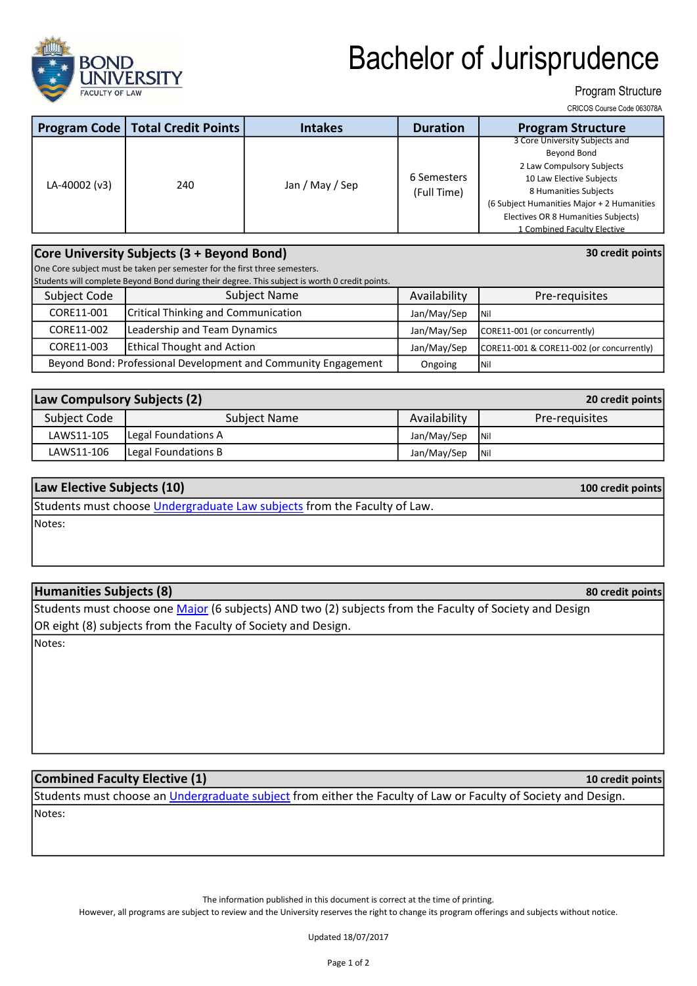

# Bachelor of Jurisprudence

### Program Structure

CRICOS Course Code 063078A

30 credit points

100 credit points

80 credit points

|               | <b>Program Code   Total Credit Points  </b> | <b>Intakes</b>  | <b>Duration</b>            | <b>Program Structure</b>                   |
|---------------|---------------------------------------------|-----------------|----------------------------|--------------------------------------------|
|               |                                             |                 |                            | 3 Core University Subjects and             |
|               |                                             |                 |                            | Beyond Bond                                |
| LA-40002 (v3) | 240                                         | Jan / May / Sep | 6 Semesters<br>(Full Time) | 2 Law Compulsory Subjects                  |
|               |                                             |                 |                            | 10 Law Elective Subjects                   |
|               |                                             |                 |                            | 8 Humanities Subjects                      |
|               |                                             |                 |                            | (6 Subject Humanities Major + 2 Humanities |
|               |                                             |                 |                            | Electives OR 8 Humanities Subjects)        |
|               |                                             |                 |                            | 1 Combined Faculty Elective                |

#### Core University Subjects (3 + Beyond Bond)

One Core subject must be taken per semester for the first three semesters.

Students will complete Beyond Bond during their degree. This subject is worth 0 credit points.

| Subject Code                                                   | Subject Name                        | Availability | Pre-requisites                            |
|----------------------------------------------------------------|-------------------------------------|--------------|-------------------------------------------|
| CORE11-001                                                     | Critical Thinking and Communication | Jan/May/Sep  | <b>INil</b>                               |
| CORE11-002                                                     | Leadership and Team Dynamics        | Jan/May/Sep  | CORE11-001 (or concurrently)              |
| CORE11-003                                                     | <b>Ethical Thought and Action</b>   | Jan/May/Sep  | CORE11-001 & CORE11-002 (or concurrently) |
| Beyond Bond: Professional Development and Community Engagement |                                     | Ongoing      | $\overline{\phantom{a}}$ Nil              |

| Law Compulsory Subjects (2) |                     | 20 credit points |                |
|-----------------------------|---------------------|------------------|----------------|
| Subject Code                | Subject Name        | Availability     | Pre-requisites |
| LAWS11-105                  | Legal Foundations A | Jan/May/Sep      | <b>INil</b>    |
| LAWS11-106                  | Legal Foundations B | Jan/May/Sep      | <b>INil</b>    |

### Law Elective Subjects (10)

Notes: Students must choose *Undergraduate Law subjects* from the Faculty of Law.

#### Humanities Subjects (8)

Students must choose one Major (6 subjects) AND two (2) subjects from the Faculty of Society and Design OR eight (8) subjects from the Faculty of Society and Design.

Notes:

## Combined Faculty Elective (1)

Notes: Students must choose an *Undergraduate subject* from either the Faculty of Law or Faculty of Society and Design.

The information published in this document is correct at the time of printing.

However, all programs are subject to review and the University reserves the right to change its program offerings and subjects without notice.

Updated 18/07/2017

10 credit points